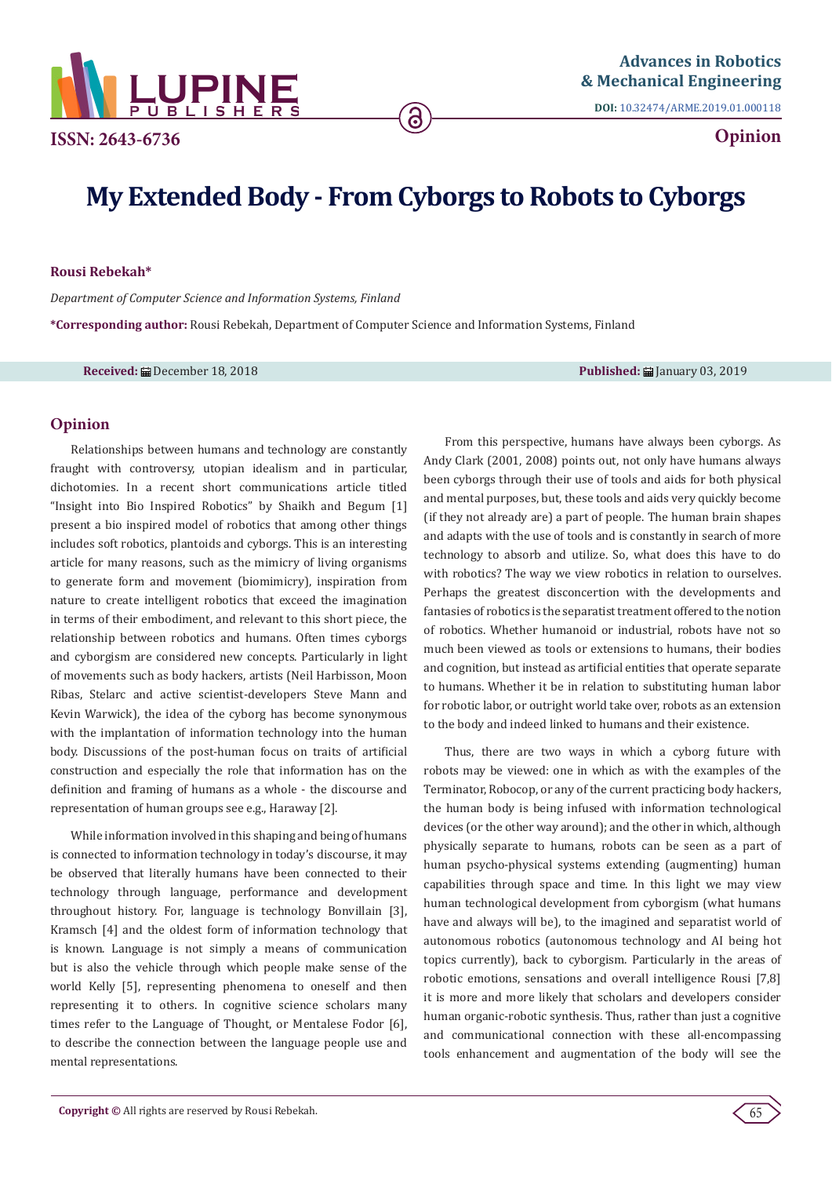

**DOI:** [10.32474/ARME.2019.01.000118](http://dx.doi.org/10.32474/ARME.2019.01.000118)

**Opinion**

# **My Extended Body - From Cyborgs to Robots to Cyborgs**

<u>ි</u>

### **Rousi Rebekah\***

*Department of Computer Science and Information Systems, Finland*

**\*Corresponding author:** Rousi Rebekah, Department of Computer Science and Information Systems, Finland

**Received:** ■ December 18, 2018 **Published:** ■ January 03, 2019 **Published:** ■ January 03, 2019

## **Opinion**

Relationships between humans and technology are constantly fraught with controversy, utopian idealism and in particular, dichotomies. In a recent short communications article titled "Insight into Bio Inspired Robotics" by Shaikh and Begum [1] present a bio inspired model of robotics that among other things includes soft robotics, plantoids and cyborgs. This is an interesting article for many reasons, such as the mimicry of living organisms to generate form and movement (biomimicry), inspiration from nature to create intelligent robotics that exceed the imagination in terms of their embodiment, and relevant to this short piece, the relationship between robotics and humans. Often times cyborgs and cyborgism are considered new concepts. Particularly in light of movements such as body hackers, artists (Neil Harbisson, Moon Ribas, Stelarc and active scientist-developers Steve Mann and Kevin Warwick), the idea of the cyborg has become synonymous with the implantation of information technology into the human body. Discussions of the post-human focus on traits of artificial construction and especially the role that information has on the definition and framing of humans as a whole - the discourse and representation of human groups see e.g., Haraway [2].

While information involved in this shaping and being of humans is connected to information technology in today's discourse, it may be observed that literally humans have been connected to their technology through language, performance and development throughout history. For, language is technology Bonvillain [3], Kramsch [4] and the oldest form of information technology that is known. Language is not simply a means of communication but is also the vehicle through which people make sense of the world Kelly [5], representing phenomena to oneself and then representing it to others. In cognitive science scholars many times refer to the Language of Thought, or Mentalese Fodor [6], to describe the connection between the language people use and mental representations.

From this perspective, humans have always been cyborgs. As Andy Clark (2001, 2008) points out, not only have humans always been cyborgs through their use of tools and aids for both physical and mental purposes, but, these tools and aids very quickly become (if they not already are) a part of people. The human brain shapes and adapts with the use of tools and is constantly in search of more technology to absorb and utilize. So, what does this have to do with robotics? The way we view robotics in relation to ourselves. Perhaps the greatest disconcertion with the developments and fantasies of robotics is the separatist treatment offered to the notion of robotics. Whether humanoid or industrial, robots have not so much been viewed as tools or extensions to humans, their bodies and cognition, but instead as artificial entities that operate separate to humans. Whether it be in relation to substituting human labor for robotic labor, or outright world take over, robots as an extension to the body and indeed linked to humans and their existence.

Thus, there are two ways in which a cyborg future with robots may be viewed: one in which as with the examples of the Terminator, Robocop, or any of the current practicing body hackers, the human body is being infused with information technological devices (or the other way around); and the other in which, although physically separate to humans, robots can be seen as a part of human psycho-physical systems extending (augmenting) human capabilities through space and time. In this light we may view human technological development from cyborgism (what humans have and always will be), to the imagined and separatist world of autonomous robotics (autonomous technology and AI being hot topics currently), back to cyborgism. Particularly in the areas of robotic emotions, sensations and overall intelligence Rousi [7,8] it is more and more likely that scholars and developers consider human organic-robotic synthesis. Thus, rather than just a cognitive and communicational connection with these all-encompassing tools enhancement and augmentation of the body will see the